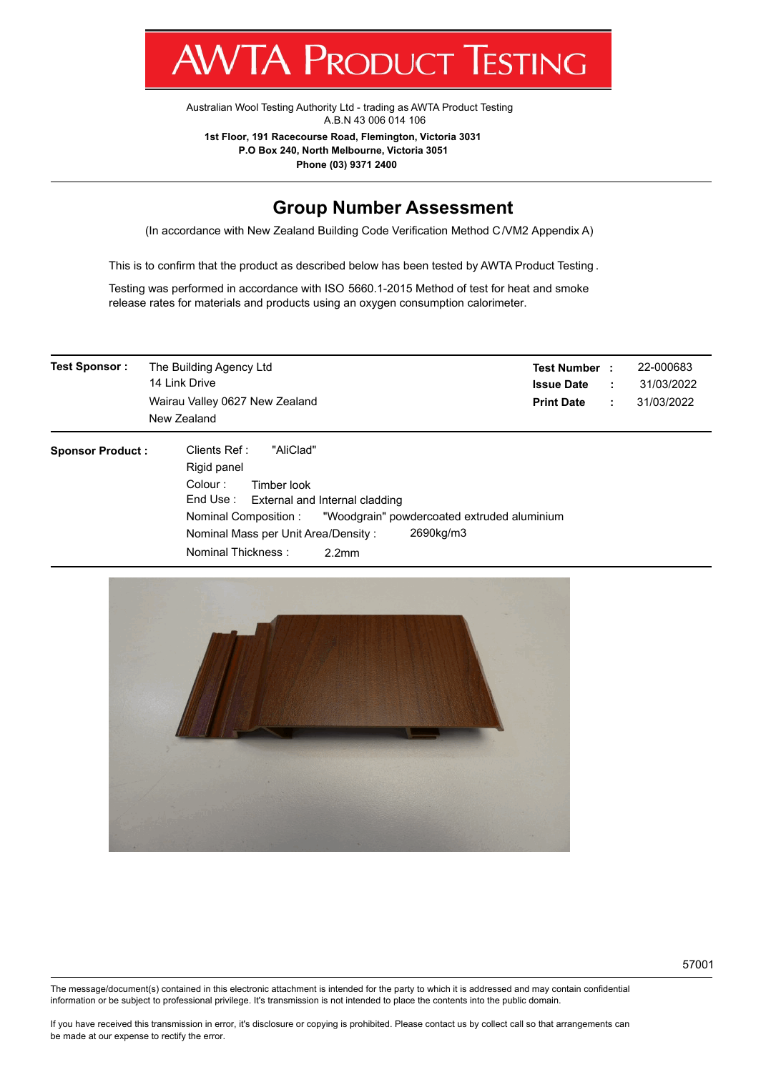v **IA ENODUCE ILSTITA** 

[Australian Wool Testing Authority Ltd - trading as AWTA Product Testing](http://www.awtaproducttesting.com.au/) A.B.N 43 006 014 106

**1st Floor, 191 Racecourse Road, Flemington, Victoria 3031 P.O Box 240, North Melbourne, Victoria 3051**

**Phone (03) 9371 2400**

## **Group Number Assessment**

(In accordance with New Zealand Building Code Verification Method C/VM2 Appendix A)

This is to confirm that the product as described below has been tested by AWTA Product Testing .

Testing was performed in accordance with ISO 5660.1-2015 Method of test for heat and smoke release rates for materials and products using an oxygen consumption calorimeter.

| <b>Test Sponsor:</b>    | The Building Agency Ltd<br>14 Link Drive<br>Wairau Valley 0627 New Zealand                                                                                                                                                                                                           | <b>Test Number:</b><br>22-000683<br>31/03/2022<br><b>Issue Date</b><br>÷<br>31/03/2022<br><b>Print Date</b><br>÷. |  |  |
|-------------------------|--------------------------------------------------------------------------------------------------------------------------------------------------------------------------------------------------------------------------------------------------------------------------------------|-------------------------------------------------------------------------------------------------------------------|--|--|
|                         | New Zealand                                                                                                                                                                                                                                                                          |                                                                                                                   |  |  |
| <b>Sponsor Product:</b> | Clients Ref:<br>"AliClad"<br>Rigid panel<br>Colour:<br>Timber look<br>End Use: External and Internal cladding<br>"Woodgrain" powdercoated extruded aluminium<br>Nominal Composition :<br>2690kg/m3<br>Nominal Mass per Unit Area/Density:<br>Nominal Thickness:<br>2.2 <sub>mm</sub> |                                                                                                                   |  |  |



The message/document(s) contained in this electronic attachment is intended for the party to which it is addressed and may contain confidential information or be subject to professional privilege. It's transmission is not intended to place the contents into the public domain.

If you have received this transmission in error, it's disclosure or copying is prohibited. Please contact us by collect call so that arrangements can be made at our expense to rectify the error.

57001